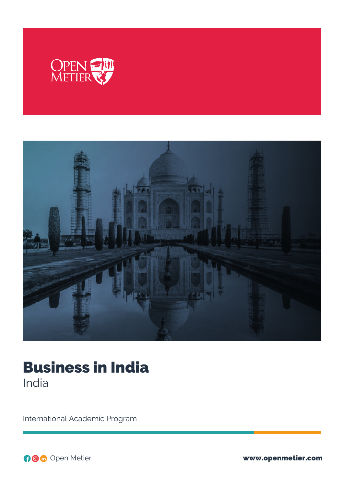



# Business in India India

International Academic Program

Open Metier www.openmetier.com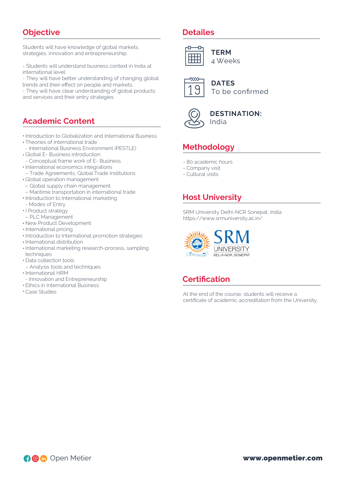#### **Objective**

Students will have knowledge of global markets, strategies, innovation and entrepreneurship.

- Students will understand business context in India at international level.

- They will have better understanding of changing global trends and their effect on people and markets.

- They will have clear understanding of global products and services and their entry strategies.

#### **Academic Content**

- Introduction to Globalization and International Business
- Theories of international trade
- International Business Environment (PESTLE)
- Global E- Business introduction
- Conceptual frame work of E- Business
- International economics integrations
- Trade Agreements, Global Trade Institutions
- Global operation management
- Global supply chain management
- Maritime transportation in international trade
- **·** Introduction to International marketing
- Modes of Entry
- I Product strategy
- PLC Management
- New Product Development
- International pricing
- $\cdot$  Introduction to International promotion strategies
- International distribution
- International marketing research-process, sampling techniques
- Data collection tools
- Analysis tools and techniques
- International HRM
- Innovation and Entrepreneurship
- Ethics in International Business
- Case Studies

#### **Detailes**



**TERM** 4 Weeks



**DATES** To be confirmed



**DESTINATION:** India

# **Methodology**

- 80 academic hours
- Company visit
- Cultural visits

### **Host University**

SRM University Delhi-NCR Sonepat, India https://www.srmuniversity.ac.in/



#### **Certification**

At the end of the course, students will receive a certificate of academic accreditation from the University.